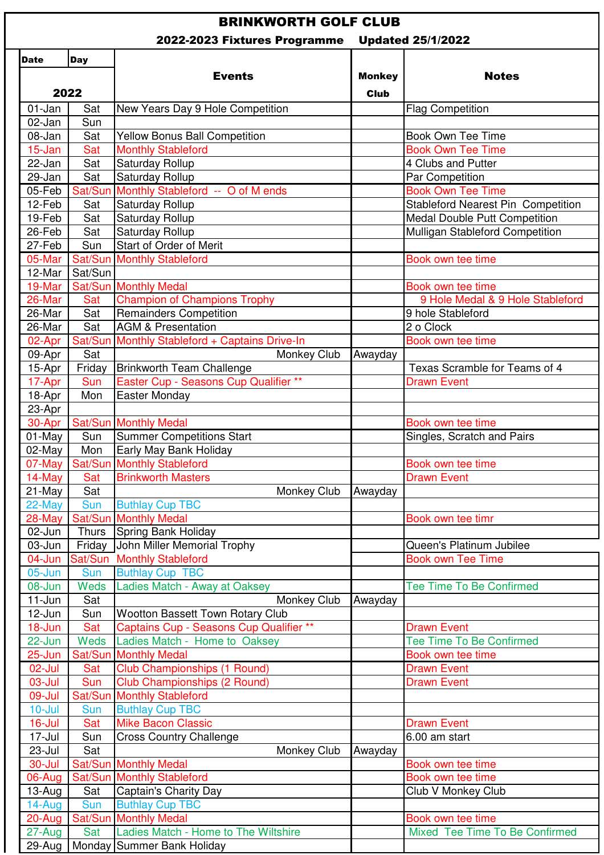## BRINKWORTH GOLF CLUB

| 2022-2023 Fixtures Programme |             |                                                                          | <b>Updated 25/1/2022</b>     |                                                       |
|------------------------------|-------------|--------------------------------------------------------------------------|------------------------------|-------------------------------------------------------|
| <b>Date</b>                  | <b>Day</b>  |                                                                          |                              |                                                       |
| 2022                         |             | <b>Events</b>                                                            | <b>Monkey</b><br><b>Club</b> | <b>Notes</b>                                          |
| 01-Jan                       | Sat         | New Years Day 9 Hole Competition                                         |                              | <b>Flag Competition</b>                               |
| 02-Jan                       | Sun         |                                                                          |                              |                                                       |
| 08-Jan                       | Sat         | <b>Yellow Bonus Ball Competition</b>                                     |                              | <b>Book Own Tee Time</b>                              |
| 15-Jan                       | Sat         | <b>Monthly Stableford</b>                                                |                              | <b>Book Own Tee Time</b>                              |
| 22-Jan                       | Sat         | Saturday Rollup                                                          |                              | 4 Clubs and Putter                                    |
| 29-Jan                       | Sat         | Saturday Rollup                                                          |                              | Par Competition                                       |
| 05-Feb                       | Sat/Sun     | Monthly Stableford -- O of M ends                                        |                              | <b>Book Own Tee Time</b>                              |
| 12-Feb                       | Sat         | Saturday Rollup                                                          |                              | <b>Stableford Nearest Pin Competition</b>             |
| 19-Feb                       | Sat         | <b>Saturday Rollup</b>                                                   |                              | <b>Medal Double Putt Competition</b>                  |
| 26-Feb                       | Sat         | Saturday Rollup                                                          |                              | Mulligan Stableford Competition                       |
| 27-Feb                       | Sun         | Start of Order of Merit                                                  |                              |                                                       |
| 05-Mar                       |             | <b>Sat/Sun Monthly Stableford</b>                                        |                              | Book own tee time                                     |
| 12-Mar                       | Sat/Sun     |                                                                          |                              |                                                       |
| 19-Mar                       | Sat/Sun     | <b>Monthly Medal</b>                                                     |                              | Book own tee time<br>9 Hole Medal & 9 Hole Stableford |
| 26-Mar<br>26-Mar             | Sat<br>Sat  | <b>Champion of Champions Trophy</b><br><b>Remainders Competition</b>     |                              | 9 hole Stableford                                     |
| 26-Mar                       | Sat         | <b>AGM &amp; Presentation</b>                                            |                              | 2 o Clock                                             |
| 02-Apr                       | Sat/Sun     | Monthly Stableford + Captains Drive-In                                   |                              | Book own tee time                                     |
| 09-Apr                       | Sat         | Monkey Club                                                              | Awayday                      |                                                       |
| 15-Apr                       | Friday      | <b>Brinkworth Team Challenge</b>                                         |                              | Texas Scramble for Teams of 4                         |
| 17-Apr                       | <b>Sun</b>  | Easter Cup - Seasons Cup Qualifier **                                    |                              | <b>Drawn Event</b>                                    |
| 18-Apr                       | Mon         | <b>Easter Monday</b>                                                     |                              |                                                       |
| 23-Apr                       |             |                                                                          |                              |                                                       |
| 30-Apr                       | Sat/Sun     | <b>Monthly Medal</b>                                                     |                              | Book own tee time                                     |
| 01-May                       | Sun         | <b>Summer Competitions Start</b>                                         |                              | Singles, Scratch and Pairs                            |
| 02-May                       | Mon         | Early May Bank Holiday                                                   |                              |                                                       |
| 07-May                       |             | <b>Sat/Sun Monthly Stableford</b>                                        |                              | Book own tee time                                     |
| 14-May                       | Sat         | <b>Brinkworth Masters</b>                                                |                              | <b>Drawn Event</b>                                    |
| 21-May                       | Sat         | Monkey Club                                                              | Awayday                      |                                                       |
| 22-May                       | Sun         | <b>Buthlay Cup TBC</b>                                                   |                              |                                                       |
| 28-May                       | Sat/Sun     | <b>Monthly Medal</b>                                                     |                              | Book own tee timr                                     |
| 02-Jun                       | Thurs       | Spring Bank Holiday                                                      |                              |                                                       |
| 03-Jun                       | Friday      | John Miller Memorial Trophy                                              |                              | Queen's Platinum Jubilee                              |
| 04-Jun                       | Sat/Sun     | <b>Monthly Stableford</b>                                                |                              | <b>Book own Tee Time</b>                              |
| $05$ -Jun                    | Sun         | <b>Buthlay Cup TBC</b>                                                   |                              |                                                       |
| 08-Jun                       | Weds        | Ladies Match - Away at Oaksey                                            |                              | <b>Tee Time To Be Confirmed</b>                       |
| $11$ -Jun                    | Sat         | Monkey Club                                                              | Awayday                      |                                                       |
| 12-Jun                       | Sun         | <b>Wootton Bassett Town Rotary Club</b>                                  |                              |                                                       |
| 18-Jun<br>22-Jun             | Sat<br>Weds | Captains Cup - Seasons Cup Qualifier **<br>Ladies Match - Home to Oaksey |                              | <b>Drawn Event</b><br><b>Tee Time To Be Confirmed</b> |
| 25-Jun                       | Sat/Sun     | <b>Monthly Medal</b>                                                     |                              | Book own tee time                                     |
| 02-Jul                       | Sat         | <b>Club Championships (1 Round)</b>                                      |                              | <b>Drawn Event</b>                                    |
| $03$ -Jul                    | Sun         | <b>Club Championships (2 Round)</b>                                      |                              | <b>Drawn Event</b>                                    |
| 09-Jul                       | Sat/Sun     | <b>Monthly Stableford</b>                                                |                              |                                                       |
| $10 -$ Jul                   | Sun         | <b>Buthlay Cup TBC</b>                                                   |                              |                                                       |
| $16$ -Jul                    | Sat         | <b>Mike Bacon Classic</b>                                                |                              | <b>Drawn Event</b>                                    |
| 17-Jul                       | Sun         | <b>Cross Country Challenge</b>                                           |                              | 6.00 am start                                         |
| $23$ -Jul                    | Sat         | Monkey Club                                                              | Awayday                      |                                                       |
| 30-Jul                       | Sat/Sun     | <b>Monthly Medal</b>                                                     |                              | Book own tee time                                     |
| 06-Aug                       | Sat/Sun     | <b>Monthly Stableford</b>                                                |                              | Book own tee time                                     |
| 13-Aug                       | Sat         | Captain's Charity Day                                                    |                              | Club V Monkey Club                                    |
| 14-Aug                       | Sun         | <b>Buthlay Cup TBC</b>                                                   |                              |                                                       |
| 20-Aug                       | Sat/Sun     | <b>Monthly Medal</b>                                                     |                              | Book own tee time                                     |
| 27-Aug                       | Sat         | Ladies Match - Home to The Wiltshire                                     |                              | Mixed Tee Time To Be Confirmed                        |
| 29-Aug                       | Monday      | Summer Bank Holiday                                                      |                              |                                                       |